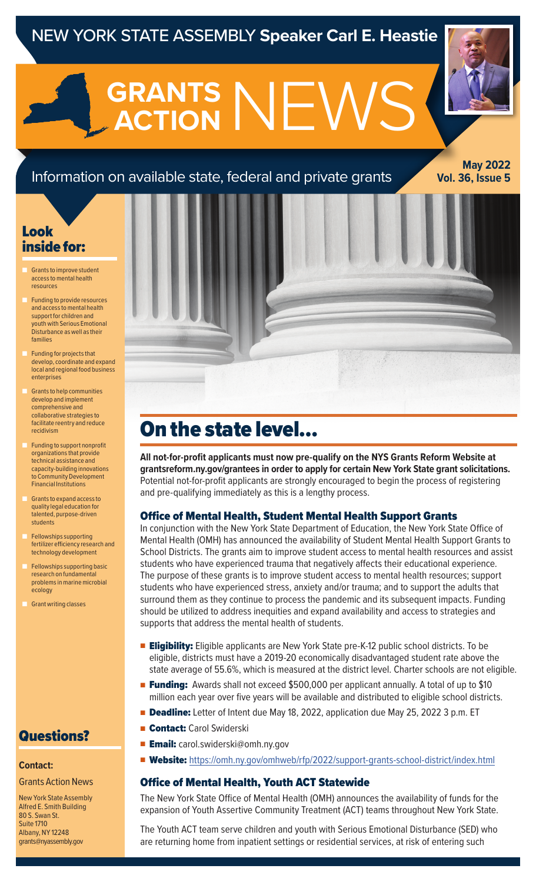# NEW YORK STATE ASSEMBLY **Speaker Carl E. Heastie**

**GRANTS NEWS ACTION**

# Information on available state, federal and private grants

**May 2022 Vol. 36, Issue 5**

# Look inside for:

- Grants to improve student access to mental health resources
- Funding to provide resources and access to mental health support for children and youth with Serious Emotional Disturbance as well as their families
- Funding for projects that develop, coordinate and expand local and regional food business enterprises
- Grants to help communities develop and implement comprehensive and collaborative strategies to facilitate reentry and reduce recidivism
- Funding to support nonprofit organizations that provide technical assistance and capacity-building innovations to Community Development Financial Institutions
- Grants to expand access to quality legal education for talented, purpose-driven students
- Fellowships supporting fertilizer efficiency research and technology development
- Fellowships supporting basic research on fundamental problems in marine microbial ecology
- **Grant writing classes**

## Questions?

#### **Contact:**

#### Grants Action News

New York State Assembly Alfred E. Smith Building 80 S. Swan St. Suite 1710 Albany, NY 12248 grants@nyassembly.gov

# On the state level…

**All not-for-profit applicants must now pre-qualify on the NYS Grants Reform Website at grantsreform.ny.gov/grantees in order to apply for certain New York State grant solicitations.**  Potential not-for-profit applicants are strongly encouraged to begin the process of registering and pre-qualifying immediately as this is a lengthy process.

### Office of Mental Health, Student Mental Health Support Grants

In conjunction with the New York State Department of Education, the New York State Office of Mental Health (OMH) has announced the availability of Student Mental Health Support Grants to School Districts. The grants aim to improve student access to mental health resources and assist students who have experienced trauma that negatively affects their educational experience. The purpose of these grants is to improve student access to mental health resources; support students who have experienced stress, anxiety and/or trauma; and to support the adults that surround them as they continue to process the pandemic and its subsequent impacts. Funding should be utilized to address inequities and expand availability and access to strategies and supports that address the mental health of students.

- **Eligibility:** Eligible applicants are New York State pre-K-12 public school districts. To be eligible, districts must have a 2019-20 economically disadvantaged student rate above the state average of 55.6%, which is measured at the district level. Charter schools are not eligible.
- **Funding:** Awards shall not exceed \$500,000 per applicant annually. A total of up to \$10 million each year over five years will be available and distributed to eligible school districts.
- Deadline: Letter of Intent due May 18, 2022, application due May 25, 2022 3 p.m. ET
- Contact: Carol Swiderski
- **Email:** carol.swiderski@omh.ny.gov
- Website: https://omh.ny.gov/omhweb/rfp/2022/support-grants-school-district/index.html

#### Office of Mental Health, Youth ACT Statewide

The New York State Office of Mental Health (OMH) announces the availability of funds for the expansion of Youth Assertive Community Treatment (ACT) teams throughout New York State.

The Youth ACT team serve children and youth with Serious Emotional Disturbance (SED) who are returning home from inpatient settings or residential services, at risk of entering such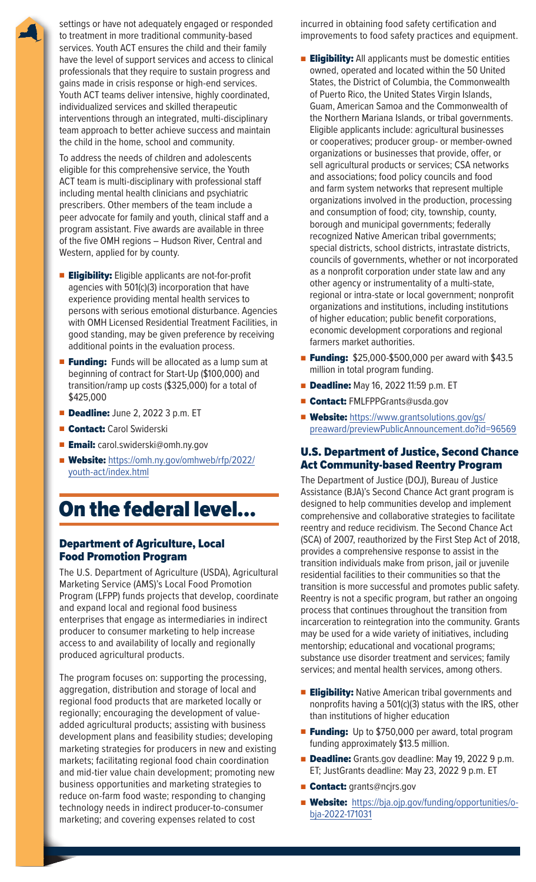settings or have not adequately engaged or responded to treatment in more traditional community-based services. Youth ACT ensures the child and their family have the level of support services and access to clinical professionals that they require to sustain progress and gains made in crisis response or high-end services. Youth ACT teams deliver intensive, highly coordinated, individualized services and skilled therapeutic interventions through an integrated, multi-disciplinary team approach to better achieve success and maintain the child in the home, school and community.

To address the needs of children and adolescents eligible for this comprehensive service, the Youth ACT team is multi-disciplinary with professional staff including mental health clinicians and psychiatric prescribers. Other members of the team include a peer advocate for family and youth, clinical staff and a program assistant. Five awards are available in three of the five OMH regions – Hudson River, Central and Western, applied for by county.

- **Eligibility:** Eligible applicants are not-for-profit agencies with 501(c)(3) incorporation that have experience providing mental health services to persons with serious emotional disturbance. Agencies with OMH Licensed Residential Treatment Facilities, in good standing, may be given preference by receiving additional points in the evaluation process.
- **Funding:** Funds will be allocated as a lump sum at beginning of contract for Start-Up (\$100,000) and transition/ramp up costs (\$325,000) for a total of \$425,000
- Deadline: June 2, 2022 3 p.m. ET
- Contact: Carol Swiderski
- Email: carol.swiderski@omh.ny.gov
- Website: https://omh.ny.gov/omhweb/rfp/2022/ youth-act/index.html

# On the federal level…

## Department of Agriculture, Local Food Promotion Program

The U.S. Department of Agriculture (USDA), Agricultural Marketing Service (AMS)'s Local Food Promotion Program (LFPP) funds projects that develop, coordinate and expand local and regional food business enterprises that engage as intermediaries in indirect producer to consumer marketing to help increase access to and availability of locally and regionally produced agricultural products.

The program focuses on: supporting the processing, aggregation, distribution and storage of local and regional food products that are marketed locally or regionally; encouraging the development of valueadded agricultural products; assisting with business development plans and feasibility studies; developing marketing strategies for producers in new and existing markets; facilitating regional food chain coordination and mid-tier value chain development; promoting new business opportunities and marketing strategies to reduce on-farm food waste; responding to changing technology needs in indirect producer-to-consumer marketing; and covering expenses related to cost

incurred in obtaining food safety certification and improvements to food safety practices and equipment.

- **Eligibility:** All applicants must be domestic entities owned, operated and located within the 50 United States, the District of Columbia, the Commonwealth of Puerto Rico, the United States Virgin Islands, Guam, American Samoa and the Commonwealth of the Northern Mariana Islands, or tribal governments. Eligible applicants include: agricultural businesses or cooperatives; producer group- or member-owned organizations or businesses that provide, offer, or sell agricultural products or services; CSA networks and associations; food policy councils and food and farm system networks that represent multiple organizations involved in the production, processing and consumption of food; city, township, county, borough and municipal governments; federally recognized Native American tribal governments; special districts, school districts, intrastate districts, councils of governments, whether or not incorporated as a nonprofit corporation under state law and any other agency or instrumentality of a multi-state, regional or intra-state or local government; nonprofit organizations and institutions, including institutions of higher education; public benefit corporations, economic development corporations and regional farmers market authorities.
- **Funding:** \$25,000-\$500,000 per award with \$43.5 million in total program funding.
- **Deadline:** May 16, 2022 11:59 p.m. ET
- Contact: FMLFPPGrants@usda.gov
- Website: https://www.grantsolutions.gov/gs/ preaward/previewPublicAnnouncement.do?id=96569

## U.S. Department of Justice, Second Chance Act Community-based Reentry Program

The Department of Justice (DOJ), Bureau of Justice Assistance (BJA)'s Second Chance Act grant program is designed to help communities develop and implement comprehensive and collaborative strategies to facilitate reentry and reduce recidivism. The Second Chance Act (SCA) of 2007, reauthorized by the First Step Act of 2018, provides a comprehensive response to assist in the transition individuals make from prison, jail or juvenile residential facilities to their communities so that the transition is more successful and promotes public safety. Reentry is not a specific program, but rather an ongoing process that continues throughout the transition from incarceration to reintegration into the community. Grants may be used for a wide variety of initiatives, including mentorship; educational and vocational programs; substance use disorder treatment and services; family services; and mental health services, among others.

- **Eligibility:** Native American tribal governments and nonprofits having a 501(c)(3) status with the IRS, other than institutions of higher education
- Funding: Up to \$750,000 per award, total program funding approximately \$13.5 million.
- **Deadline:** Grants.gov deadline: May 19, 2022 9 p.m. ET; JustGrants deadline: May 23, 2022 9 p.m. ET
- **Contact:** grants@ncjrs.gov
- Website: https://bja.ojp.gov/funding/opportunities/obja-2022-171031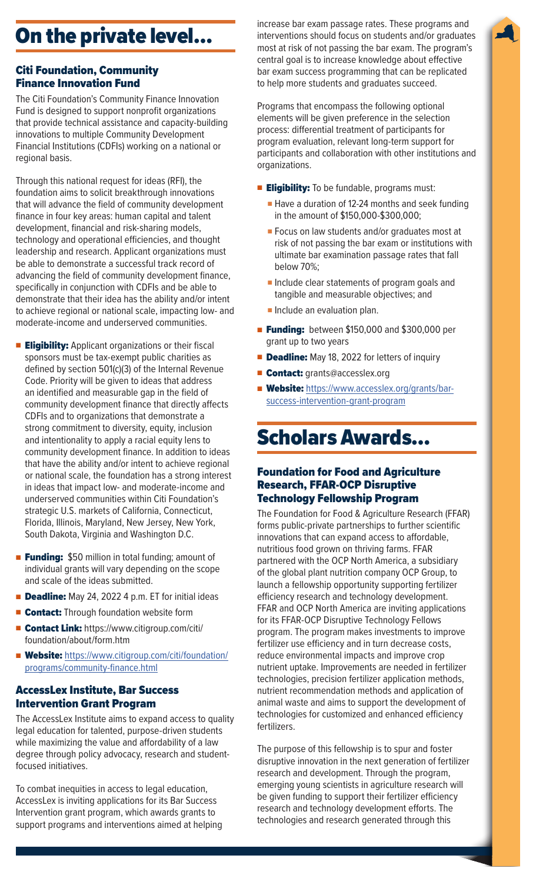# On the private level…

## Citi Foundation, Community Finance Innovation Fund

The Citi Foundation's Community Finance Innovation Fund is designed to support nonprofit organizations that provide technical assistance and capacity-building innovations to multiple Community Development Financial Institutions (CDFIs) working on a national or regional basis.

Through this national request for ideas (RFI), the foundation aims to solicit breakthrough innovations that will advance the field of community development finance in four key areas: human capital and talent development, financial and risk-sharing models, technology and operational efficiencies, and thought leadership and research. Applicant organizations must be able to demonstrate a successful track record of advancing the field of community development finance, specifically in conjunction with CDFIs and be able to demonstrate that their idea has the ability and/or intent to achieve regional or national scale, impacting low- and moderate-income and underserved communities.

- **Eligibility:** Applicant organizations or their fiscal sponsors must be tax-exempt public charities as defined by section 501(c)(3) of the Internal Revenue Code. Priority will be given to ideas that address an identified and measurable gap in the field of community development finance that directly affects CDFIs and to organizations that demonstrate a strong commitment to diversity, equity, inclusion and intentionality to apply a racial equity lens to community development finance. In addition to ideas that have the ability and/or intent to achieve regional or national scale, the foundation has a strong interest in ideas that impact low- and moderate-income and underserved communities within Citi Foundation's strategic U.S. markets of California, Connecticut, Florida, Illinois, Maryland, New Jersey, New York, South Dakota, Virginia and Washington D.C.
- **Funding:** \$50 million in total funding; amount of individual grants will vary depending on the scope and scale of the ideas submitted.
- **Deadline:** May 24, 2022 4 p.m. ET for initial ideas
- Contact: Through foundation website form
- Contact Link: https://www.citigroup.com/citi/ foundation/about/form.htm
- Website: https://www.citigroup.com/citi/foundation/ programs/community-finance.html

### AccessLex Institute, Bar Success Intervention Grant Program

The AccessLex Institute aims to expand access to quality legal education for talented, purpose-driven students while maximizing the value and affordability of a law degree through policy advocacy, research and studentfocused initiatives.

To combat inequities in access to legal education, AccessLex is inviting applications for its Bar Success Intervention grant program, which awards grants to support programs and interventions aimed at helping increase bar exam passage rates. These programs and interventions should focus on students and/or graduates most at risk of not passing the bar exam. The program's central goal is to increase knowledge about effective bar exam success programming that can be replicated to help more students and graduates succeed.

Programs that encompass the following optional elements will be given preference in the selection process: differential treatment of participants for program evaluation, relevant long-term support for participants and collaboration with other institutions and organizations.

- **Eligibility:** To be fundable, programs must:
	- Have a duration of 12-24 months and seek funding in the amount of \$150,000-\$300,000;
	- Focus on law students and/or graduates most at risk of not passing the bar exam or institutions with ultimate bar examination passage rates that fall below 70%;
	- Include clear statements of program goals and tangible and measurable objectives; and
	- Include an evaluation plan.
- **Funding:** between \$150,000 and \$300,000 per grant up to two years
- **Deadline:** May 18, 2022 for letters of inquiry
- Contact: grants@accesslex.org
- Website: https://www.accesslex.org/grants/barsuccess-intervention-grant-program

# Scholars Awards…

### Foundation for Food and Agriculture Research, FFAR-OCP Disruptive Technology Fellowship Program

The Foundation for Food & Agriculture Research (FFAR) forms public-private partnerships to further scientific innovations that can expand access to affordable, nutritious food grown on thriving farms. FFAR partnered with the OCP North America, a subsidiary of the global plant nutrition company OCP Group, to launch a fellowship opportunity supporting fertilizer efficiency research and technology development. FFAR and OCP North America are inviting applications for its FFAR-OCP Disruptive Technology Fellows program. The program makes investments to improve fertilizer use efficiency and in turn decrease costs, reduce environmental impacts and improve crop nutrient uptake. Improvements are needed in fertilizer technologies, precision fertilizer application methods, nutrient recommendation methods and application of animal waste and aims to support the development of technologies for customized and enhanced efficiency fertilizers.

The purpose of this fellowship is to spur and foster disruptive innovation in the next generation of fertilizer research and development. Through the program, emerging young scientists in agriculture research will be given funding to support their fertilizer efficiency research and technology development efforts. The technologies and research generated through this